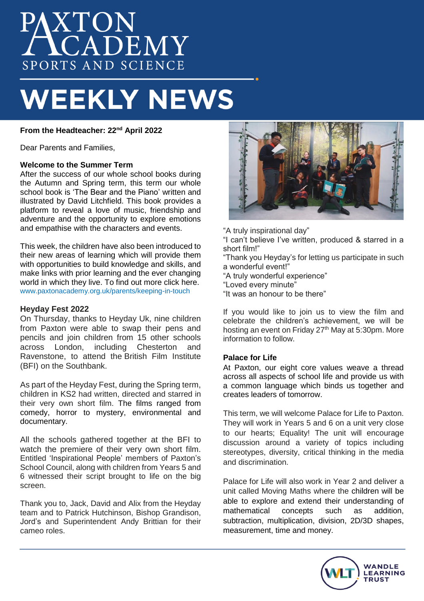# **AXTON<br>ACADEMY** SPORTS AND SCIENCE

# **WEEKLY NEWS**

**From the Headteacher: 22nd April 2022**

Dear Parents and Families,

#### **Welcome to the Summer Term**

After the success of our whole school books during the Autumn and Spring term, this term our whole school book is 'The Bear and the Piano' written and illustrated by David Litchfield. This book provides a platform to reveal a love of music, friendship and adventure and the opportunity to explore emotions and empathise with the characters and events.

This week, the children have also been introduced to their new areas of learning which will provide them with opportunities to build knowledge and skills, and make links with prior learning and the ever changing world in which they live. To find out more click here. www.paxtonacademy.org.uk/parents/keeping-in-touch

#### **Heyday Fest 2022**

On Thursday, thanks to Heyday Uk, nine children from Paxton were able to swap their pens and pencils and join children from 15 other schools across London, including Chesterton and Ravenstone, to attend the British Film Institute (BFI) on the Southbank.

As part of the Heyday Fest, during the Spring term, children in KS2 had written, directed and starred in their very own short film. The films ranged from comedy, horror to mystery, environmental and documentary.

All the schools gathered together at the BFI to watch the premiere of their very own short film. Entitled 'Inspirational People' members of Paxton's School Council, along with children from Years 5 and 6 witnessed their script brought to life on the big screen.

Thank you to, Jack, David and Alix from the Heyday team and to Patrick Hutchinson, Bishop Grandison, Jord's and Superintendent Andy Brittian for their cameo roles.



"A truly inspirational day"

"I can't believe I've written, produced & starred in a short film!"

"Thank you Heyday's for letting us participate in such a wonderful event!"

"A truly wonderful experience"

"Loved every minute"

"It was an honour to be there"

If you would like to join us to view the film and celebrate the children's achievement, we will be hosting an event on Friday 27<sup>th</sup> May at 5:30pm. More information to follow.

# **Palace for Life**

At Paxton, our eight core values weave a thread across all aspects of school life and provide us with a common language which binds us together and creates leaders of tomorrow.

This term, we will welcome Palace for Life to Paxton. They will work in Years 5 and 6 on a unit very close to our hearts; Equality! The unit will encourage discussion around a variety of topics including stereotypes, diversity, critical thinking in the media and discrimination.

Palace for Life will also work in Year 2 and deliver a unit called Moving Maths where the children will be able to explore and extend their understanding of mathematical concepts such as addition, subtraction, multiplication, division, 2D/3D shapes, measurement, time and money.